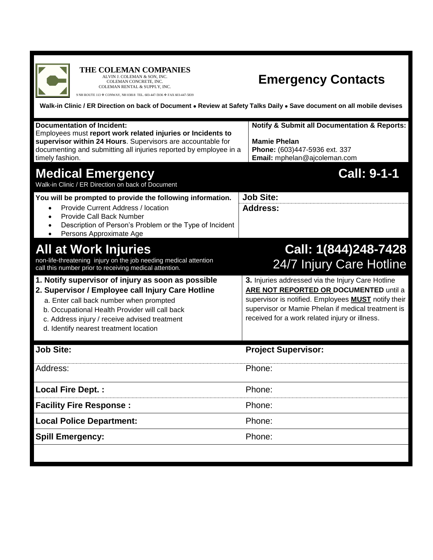

## **THE COLEMAN COMPANIES**<br>ALVIN J. COLEMAN & SON, INC.<br>COLEMAN RENTAL & SUPPLY, INC.

9 NH ROUTE 113  $\blacklozenge$  CONWAY, NH 03818 TEL. 603-447-5936  $\blacklozenge$  FAX 603-447-5839

## **Emergency Contacts**

**Walk-in Clinic / ER Direction on back of Document Review at Safety Talks Daily Save document on all mobile devises**

| <b>Documentation of Incident:</b><br>Employees must report work related injuries or Incidents to<br>supervisor within 24 Hours. Supervisors are accountable for<br>documenting and submitting all injuries reported by employee in a<br>timely fashion.                                         | <b>Notify &amp; Submit all Documentation &amp; Reports:</b><br><b>Mamie Phelan</b><br>Phone: (603)447-5936 ext. 337<br>Email: mphelan@ajcoleman.com                                                                                                               |
|-------------------------------------------------------------------------------------------------------------------------------------------------------------------------------------------------------------------------------------------------------------------------------------------------|-------------------------------------------------------------------------------------------------------------------------------------------------------------------------------------------------------------------------------------------------------------------|
| <b>Medical Emergency</b><br>Walk-in Clinic / ER Direction on back of Document                                                                                                                                                                                                                   | <b>Call: 9-1-1</b>                                                                                                                                                                                                                                                |
| You will be prompted to provide the following information.<br>Provide Current Address / location<br>$\bullet$<br><b>Provide Call Back Number</b><br>$\bullet$<br>Description of Person's Problem or the Type of Incident<br>$\bullet$<br>Persons Approximate Age<br>$\bullet$                   | <b>Job Site:</b><br><b>Address:</b>                                                                                                                                                                                                                               |
| All at Work Injuries<br>non-life-threatening injury on the job needing medical attention<br>call this number prior to receiving medical attention.                                                                                                                                              | Call: 1(844)248-7428<br>24/7 Injury Care Hotline                                                                                                                                                                                                                  |
| 1. Notify supervisor of injury as soon as possible<br>2. Supervisor / Employee call Injury Care Hotline<br>a. Enter call back number when prompted<br>b. Occupational Health Provider will call back<br>c. Address injury / receive advised treatment<br>d. Identify nearest treatment location | 3. Injuries addressed via the Injury Care Hotline<br>ARE NOT REPORTED OR DOCUMENTED until a<br>supervisor is notified. Employees <b>MUST</b> notify their<br>supervisor or Mamie Phelan if medical treatment is<br>received for a work related injury or illness. |
| <b>Job Site:</b>                                                                                                                                                                                                                                                                                | <b>Project Supervisor:</b>                                                                                                                                                                                                                                        |
| Address:                                                                                                                                                                                                                                                                                        | Phone:                                                                                                                                                                                                                                                            |
| <b>Local Fire Dept.:</b>                                                                                                                                                                                                                                                                        | Phone:                                                                                                                                                                                                                                                            |
| <b>Facility Fire Response:</b>                                                                                                                                                                                                                                                                  | Phone:                                                                                                                                                                                                                                                            |
| <b>Local Police Department:</b>                                                                                                                                                                                                                                                                 | Phone:                                                                                                                                                                                                                                                            |
| <b>Spill Emergency:</b>                                                                                                                                                                                                                                                                         | Phone:                                                                                                                                                                                                                                                            |
|                                                                                                                                                                                                                                                                                                 |                                                                                                                                                                                                                                                                   |